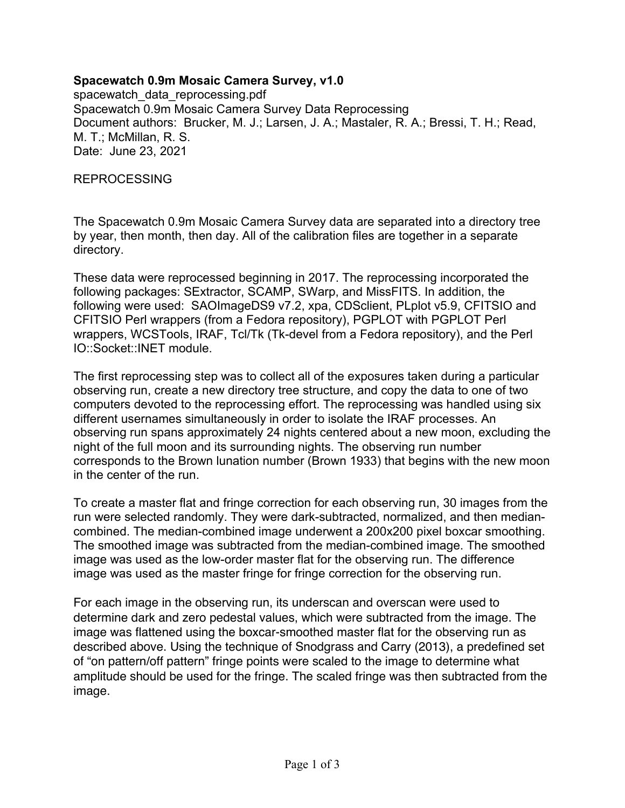### **Spacewatch 0.9m Mosaic Camera Survey, v1.0**

spacewatch\_data\_reprocessing.pdf Spacewatch 0.9m Mosaic Camera Survey Data Reprocessing Document authors: Brucker, M. J.; Larsen, J. A.; Mastaler, R. A.; Bressi, T. H.; Read, M. T.; McMillan, R. S. Date: June 23, 2021

REPROCESSING

The Spacewatch 0.9m Mosaic Camera Survey data are separated into a directory tree by year, then month, then day. All of the calibration files are together in a separate directory.

These data were reprocessed beginning in 2017. The reprocessing incorporated the following packages: SExtractor, SCAMP, SWarp, and MissFITS. In addition, the following were used: SAOImageDS9 v7.2, xpa, CDSclient, PLplot v5.9, CFITSIO and CFITSIO Perl wrappers (from a Fedora repository), PGPLOT with PGPLOT Perl wrappers, WCSTools, IRAF, Tcl/Tk (Tk-devel from a Fedora repository), and the Perl IO::Socket::INET module.

The first reprocessing step was to collect all of the exposures taken during a particular observing run, create a new directory tree structure, and copy the data to one of two computers devoted to the reprocessing effort. The reprocessing was handled using six different usernames simultaneously in order to isolate the IRAF processes. An observing run spans approximately 24 nights centered about a new moon, excluding the night of the full moon and its surrounding nights. The observing run number corresponds to the Brown lunation number (Brown 1933) that begins with the new moon in the center of the run.

To create a master flat and fringe correction for each observing run, 30 images from the run were selected randomly. They were dark-subtracted, normalized, and then mediancombined. The median-combined image underwent a 200x200 pixel boxcar smoothing. The smoothed image was subtracted from the median-combined image. The smoothed image was used as the low-order master flat for the observing run. The difference image was used as the master fringe for fringe correction for the observing run.

For each image in the observing run, its underscan and overscan were used to determine dark and zero pedestal values, which were subtracted from the image. The image was flattened using the boxcar-smoothed master flat for the observing run as described above. Using the technique of Snodgrass and Carry (2013), a predefined set of "on pattern/off pattern" fringe points were scaled to the image to determine what amplitude should be used for the fringe. The scaled fringe was then subtracted from the image.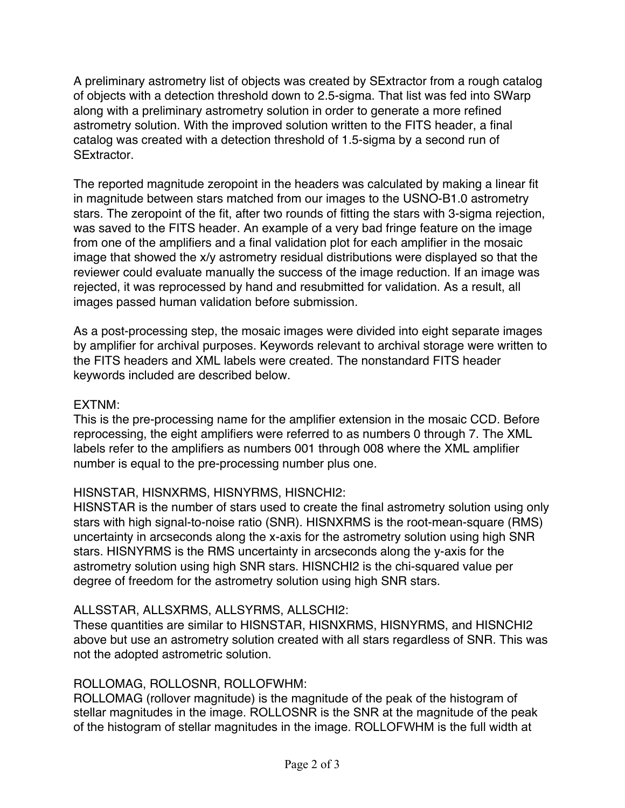A preliminary astrometry list of objects was created by SExtractor from a rough catalog of objects with a detection threshold down to 2.5-sigma. That list was fed into SWarp along with a preliminary astrometry solution in order to generate a more refined astrometry solution. With the improved solution written to the FITS header, a final catalog was created with a detection threshold of 1.5-sigma by a second run of SExtractor.

The reported magnitude zeropoint in the headers was calculated by making a linear fit in magnitude between stars matched from our images to the USNO-B1.0 astrometry stars. The zeropoint of the fit, after two rounds of fitting the stars with 3-sigma rejection, was saved to the FITS header. An example of a very bad fringe feature on the image from one of the amplifiers and a final validation plot for each amplifier in the mosaic image that showed the x/y astrometry residual distributions were displayed so that the reviewer could evaluate manually the success of the image reduction. If an image was rejected, it was reprocessed by hand and resubmitted for validation. As a result, all images passed human validation before submission.

As a post-processing step, the mosaic images were divided into eight separate images by amplifier for archival purposes. Keywords relevant to archival storage were written to the FITS headers and XML labels were created. The nonstandard FITS header keywords included are described below.

### EXTNM:

This is the pre-processing name for the amplifier extension in the mosaic CCD. Before reprocessing, the eight amplifiers were referred to as numbers 0 through 7. The XML labels refer to the amplifiers as numbers 001 through 008 where the XML amplifier number is equal to the pre-processing number plus one.

# HISNSTAR, HISNXRMS, HISNYRMS, HISNCHI2:

HISNSTAR is the number of stars used to create the final astrometry solution using only stars with high signal-to-noise ratio (SNR). HISNXRMS is the root-mean-square (RMS) uncertainty in arcseconds along the x-axis for the astrometry solution using high SNR stars. HISNYRMS is the RMS uncertainty in arcseconds along the y-axis for the astrometry solution using high SNR stars. HISNCHI2 is the chi-squared value per degree of freedom for the astrometry solution using high SNR stars.

# ALLSSTAR, ALLSXRMS, ALLSYRMS, ALLSCHI2:

These quantities are similar to HISNSTAR, HISNXRMS, HISNYRMS, and HISNCHI2 above but use an astrometry solution created with all stars regardless of SNR. This was not the adopted astrometric solution.

# ROLLOMAG, ROLLOSNR, ROLLOFWHM:

ROLLOMAG (rollover magnitude) is the magnitude of the peak of the histogram of stellar magnitudes in the image. ROLLOSNR is the SNR at the magnitude of the peak of the histogram of stellar magnitudes in the image. ROLLOFWHM is the full width at